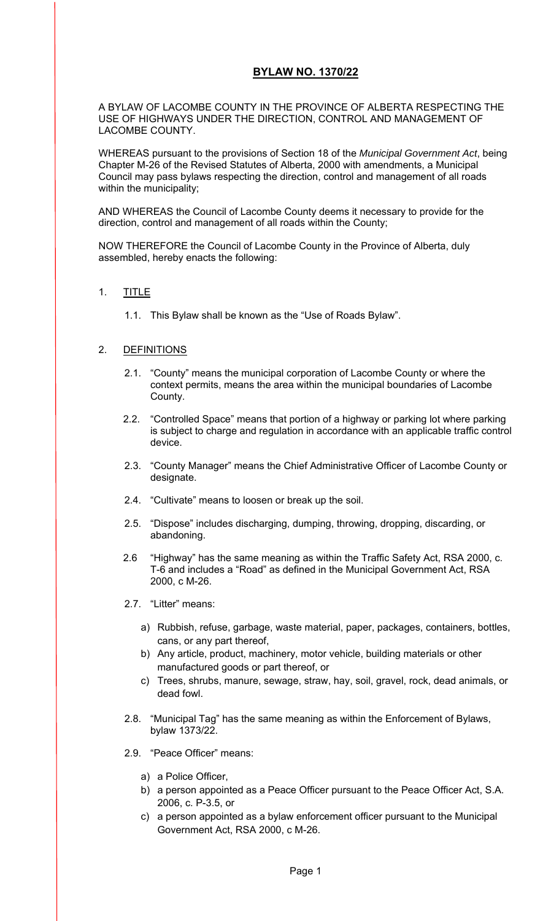## **BYLAW NO. 1370/22**

A BYLAW OF LACOMBE COUNTY IN THE PROVINCE OF ALBERTA RESPECTING THE USE OF HIGHWAYS UNDER THE DIRECTION, CONTROL AND MANAGEMENT OF LACOMBE COUNTY.

WHEREAS pursuant to the provisions of Section 18 of the *Municipal Government Act*, being Chapter M-26 of the Revised Statutes of Alberta, 2000 with amendments, a Municipal Council may pass bylaws respecting the direction, control and management of all roads within the municipality;

AND WHEREAS the Council of Lacombe County deems it necessary to provide for the direction, control and management of all roads within the County;

NOW THEREFORE the Council of Lacombe County in the Province of Alberta, duly assembled, hereby enacts the following:

### 1. TITLE

1.1. This Bylaw shall be known as the "Use of Roads Bylaw".

### 2. DEFINITIONS

- 2.1. "County" means the municipal corporation of Lacombe County or where the context permits, means the area within the municipal boundaries of Lacombe County.
- 2.2. "Controlled Space" means that portion of a highway or parking lot where parking is subject to charge and regulation in accordance with an applicable traffic control device.
- 2.3. "County Manager" means the Chief Administrative Officer of Lacombe County or designate.
- 2.4. "Cultivate" means to loosen or break up the soil.
- 2.5. "Dispose" includes discharging, dumping, throwing, dropping, discarding, or abandoning.
- 2.6 "Highway" has the same meaning as within the Traffic Safety Act, RSA 2000, c. T-6 and includes a "Road" as defined in the Municipal Government Act, RSA 2000, c M-26.
- 2.7. "Litter" means:
	- a) Rubbish, refuse, garbage, waste material, paper, packages, containers, bottles, cans, or any part thereof,
	- b) Any article, product, machinery, motor vehicle, building materials or other manufactured goods or part thereof, or
	- c) Trees, shrubs, manure, sewage, straw, hay, soil, gravel, rock, dead animals, or dead fowl.
- 2.8. "Municipal Tag" has the same meaning as within the Enforcement of Bylaws, bylaw 1373/22.
- 2.9. "Peace Officer" means:
	- a) a Police Officer,
	- b) a person appointed as a Peace Officer pursuant to the Peace Officer Act, S.A. 2006, c. P-3.5, or
	- c) a person appointed as a bylaw enforcement officer pursuant to the Municipal Government Act, RSA 2000, c M-26.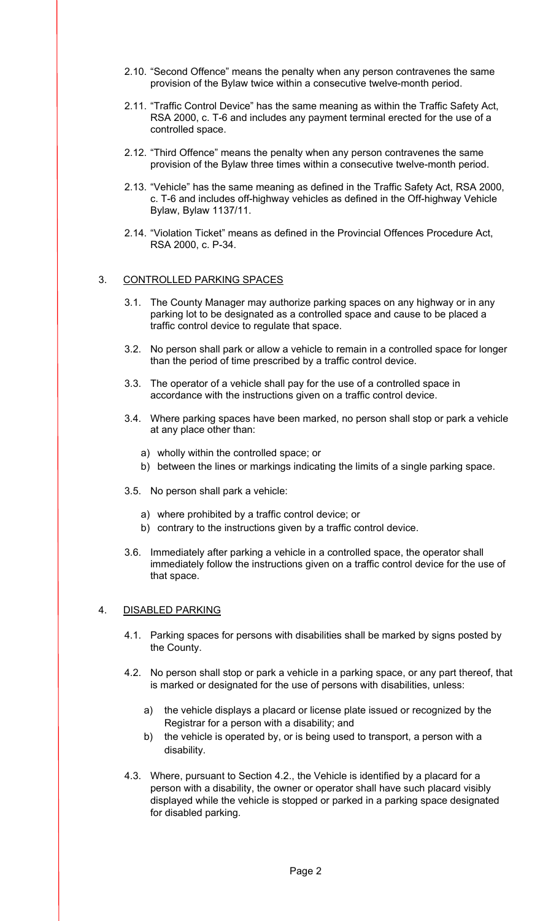- 2.10. "Second Offence" means the penalty when any person contravenes the same provision of the Bylaw twice within a consecutive twelve-month period.
- 2.11. "Traffic Control Device" has the same meaning as within the Traffic Safety Act, RSA 2000, c. T-6 and includes any payment terminal erected for the use of a controlled space.
- 2.12. "Third Offence" means the penalty when any person contravenes the same provision of the Bylaw three times within a consecutive twelve-month period.
- 2.13. "Vehicle" has the same meaning as defined in the Traffic Safety Act, RSA 2000, c. T-6 and includes off-highway vehicles as defined in the Off-highway Vehicle Bylaw, Bylaw 1137/11.
- 2.14. "Violation Ticket" means as defined in the Provincial Offences Procedure Act, RSA 2000, c. P-34.

### 3. CONTROLLED PARKING SPACES

- 3.1. The County Manager may authorize parking spaces on any highway or in any parking lot to be designated as a controlled space and cause to be placed a traffic control device to regulate that space.
- 3.2. No person shall park or allow a vehicle to remain in a controlled space for longer than the period of time prescribed by a traffic control device.
- 3.3. The operator of a vehicle shall pay for the use of a controlled space in accordance with the instructions given on a traffic control device.
- 3.4. Where parking spaces have been marked, no person shall stop or park a vehicle at any place other than:
	- a) wholly within the controlled space; or
	- b) between the lines or markings indicating the limits of a single parking space.
- 3.5. No person shall park a vehicle:
	- a) where prohibited by a traffic control device; or
	- b) contrary to the instructions given by a traffic control device.
- 3.6. Immediately after parking a vehicle in a controlled space, the operator shall immediately follow the instructions given on a traffic control device for the use of that space.

### 4. DISABLED PARKING

- 4.1. Parking spaces for persons with disabilities shall be marked by signs posted by the County.
- 4.2. No person shall stop or park a vehicle in a parking space, or any part thereof, that is marked or designated for the use of persons with disabilities, unless:
	- a) the vehicle displays a placard or license plate issued or recognized by the Registrar for a person with a disability; and
	- b) the vehicle is operated by, or is being used to transport, a person with a disability.
- 4.3. Where, pursuant to Section 4.2., the Vehicle is identified by a placard for a person with a disability, the owner or operator shall have such placard visibly displayed while the vehicle is stopped or parked in a parking space designated for disabled parking.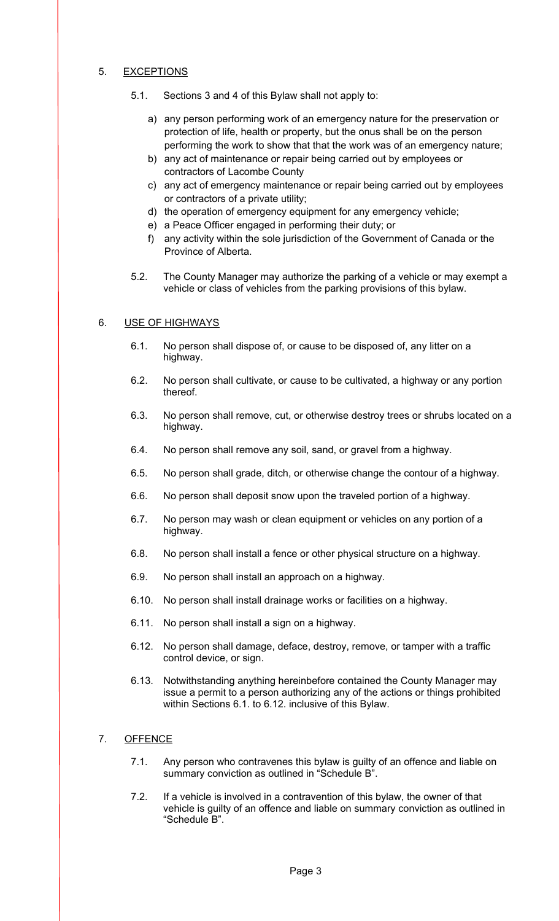## 5. EXCEPTIONS

- 5.1. Sections 3 and 4 of this Bylaw shall not apply to:
	- a) any person performing work of an emergency nature for the preservation or protection of life, health or property, but the onus shall be on the person performing the work to show that that the work was of an emergency nature;
	- b) any act of maintenance or repair being carried out by employees or contractors of Lacombe County
	- c) any act of emergency maintenance or repair being carried out by employees or contractors of a private utility;
	- d) the operation of emergency equipment for any emergency vehicle;
	- e) a Peace Officer engaged in performing their duty; or
	- f) any activity within the sole jurisdiction of the Government of Canada or the Province of Alberta.
- 5.2. The County Manager may authorize the parking of a vehicle or may exempt a vehicle or class of vehicles from the parking provisions of this bylaw.

## 6. USE OF HIGHWAYS

- 6.1. No person shall dispose of, or cause to be disposed of, any litter on a highway.
- 6.2. No person shall cultivate, or cause to be cultivated, a highway or any portion thereof.
- 6.3. No person shall remove, cut, or otherwise destroy trees or shrubs located on a highway.
- 6.4. No person shall remove any soil, sand, or gravel from a highway.
- 6.5. No person shall grade, ditch, or otherwise change the contour of a highway.
- 6.6. No person shall deposit snow upon the traveled portion of a highway.
- 6.7. No person may wash or clean equipment or vehicles on any portion of a highway.
- 6.8. No person shall install a fence or other physical structure on a highway.
- 6.9. No person shall install an approach on a highway.
- 6.10. No person shall install drainage works or facilities on a highway.
- 6.11. No person shall install a sign on a highway.
- 6.12. No person shall damage, deface, destroy, remove, or tamper with a traffic control device, or sign.
- 6.13. Notwithstanding anything hereinbefore contained the County Manager may issue a permit to a person authorizing any of the actions or things prohibited within Sections 6.1. to 6.12. inclusive of this Bylaw.

### 7. OFFENCE

- 7.1. Any person who contravenes this bylaw is guilty of an offence and liable on summary conviction as outlined in "Schedule B".
- 7.2. If a vehicle is involved in a contravention of this bylaw, the owner of that vehicle is guilty of an offence and liable on summary conviction as outlined in "Schedule B".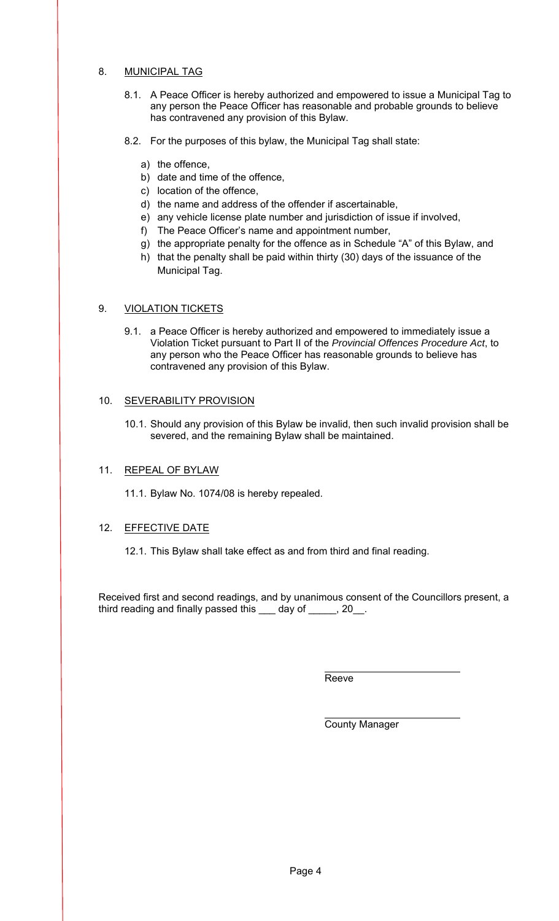## 8. MUNICIPAL TAG

- 8.1. A Peace Officer is hereby authorized and empowered to issue a Municipal Tag to any person the Peace Officer has reasonable and probable grounds to believe has contravened any provision of this Bylaw.
- 8.2. For the purposes of this bylaw, the Municipal Tag shall state:
	- a) the offence,
	- b) date and time of the offence,
	- c) location of the offence,
	- d) the name and address of the offender if ascertainable,
	- e) any vehicle license plate number and jurisdiction of issue if involved,
	- f) The Peace Officer's name and appointment number,
	- g) the appropriate penalty for the offence as in Schedule "A" of this Bylaw, and
	- h) that the penalty shall be paid within thirty (30) days of the issuance of the Municipal Tag.

## 9. VIOLATION TICKETS

9.1. a Peace Officer is hereby authorized and empowered to immediately issue a Violation Ticket pursuant to Part II of the *Provincial Offences Procedure Act*, to any person who the Peace Officer has reasonable grounds to believe has contravened any provision of this Bylaw.

### 10. SEVERABILITY PROVISION

10.1. Should any provision of this Bylaw be invalid, then such invalid provision shall be severed, and the remaining Bylaw shall be maintained.

### 11. REPEAL OF BYLAW

11.1. Bylaw No. 1074/08 is hereby repealed.

### 12. EFFECTIVE DATE

12.1. This Bylaw shall take effect as and from third and final reading.

Received first and second readings, and by unanimous consent of the Councillors present, a third reading and finally passed this \_\_\_ day of \_\_\_\_\_, 20\_\_.

Reeve

County Manager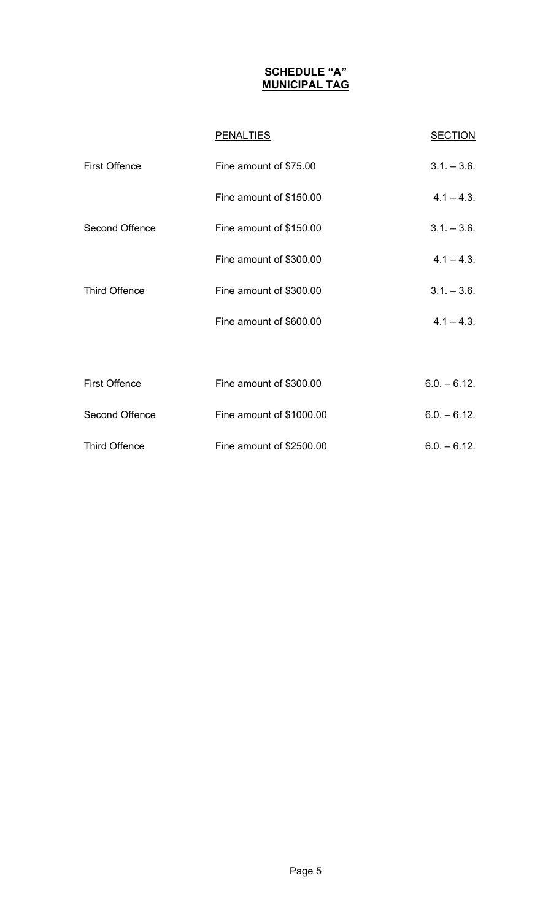# **SCHEDULE "A" MUNICIPAL TAG**

|                      | <b>PENALTIES</b>         | <b>SECTION</b> |
|----------------------|--------------------------|----------------|
| <b>First Offence</b> | Fine amount of \$75.00   | $3.1 - 3.6$ .  |
|                      | Fine amount of \$150.00  | $4.1 - 4.3$ .  |
| Second Offence       | Fine amount of \$150.00  | $3.1 - 3.6$ .  |
|                      | Fine amount of \$300.00  | $4.1 - 4.3$ .  |
| <b>Third Offence</b> | Fine amount of \$300.00  | $3.1 - 3.6$ .  |
|                      | Fine amount of \$600.00  | $4.1 - 4.3$ .  |
|                      |                          |                |
| <b>First Offence</b> | Fine amount of \$300.00  | $6.0 - 6.12$ . |
| Second Offence       | Fine amount of \$1000.00 | $6.0. - 6.12.$ |
| <b>Third Offence</b> | Fine amount of \$2500.00 | $6.0 - 6.12$ . |